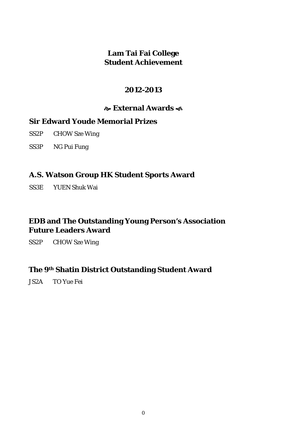#### **Lam Tai Fai College Student Achievement**

#### **2012-2013**

#### **External Awards**

#### **Sir Edward Youde Memorial Prizes**

- SS2P CHOW Sze Wing
- SS3P NG Pui Fung

#### **A.S. Watson Group HK Student Sports Award**

SS3E YUEN Shuk Wai

### **EDB and The Outstanding Young Person's Association Future Leaders Award**

SS2P CHOW Sze Wing

#### **The 9th Shatin District Outstanding Student Award**

JS2A TO Yue Fei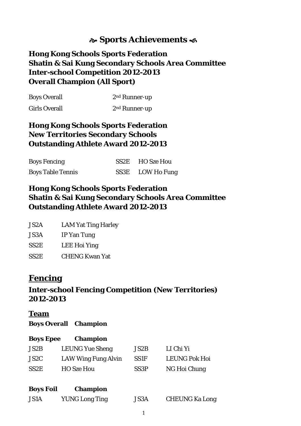## **Sports Achievements**

### **Hong Kong Schools Sports Federation Shatin & Sai Kung Secondary Schools Area Committee Inter-school Competition 2012-2013 Overall Champion (All Sport)**

| <b>Boys Overall</b>  | $2nd$ Runner-up |  |
|----------------------|-----------------|--|
| <b>Girls Overall</b> | $2nd$ Runner-up |  |

### **Hong Kong Schools Sports Federation New Territories Secondary Schools Outstanding Athlete Award 2012-2013**

| <b>Boys Fencing</b>      | SS2E HO Sze Hou  |
|--------------------------|------------------|
| <b>Boys Table Tennis</b> | SS3E LOW Ho Fung |

#### **Hong Kong Schools Sports Federation Shatin & Sai Kung Secondary Schools Area Committee Outstanding Athlete Award 2012-2013**

| JS2A | <b>LAM Yat Ting Harley</b> |
|------|----------------------------|
|      |                            |

| JS3A | IP Yan Tung         |
|------|---------------------|
| SS2E | <b>LEE Hoi Ying</b> |

SS2E CHENG Kwan Yat

## **Fencing**

### **Inter-school Fencing Competition (New Territories) 2012-2013**

#### **Team**

#### **Boys Overall Champion**

#### **Boys Epee Champion**

| JS2B              | <b>LEUNG Yue Sheng</b> | JS2B              | LI Chi Yi            |
|-------------------|------------------------|-------------------|----------------------|
| JS2C              | LAW Wing Fung Alvin    | SS <sub>1F</sub>  | <b>LEUNG Pok Hoi</b> |
| SS <sub>2</sub> E | <b>HO</b> Sze Hou      | SS <sub>3</sub> P | NG Hoi Chung         |

| <b>Boys Foil</b> | <b>Champion</b> |
|------------------|-----------------|
|------------------|-----------------|

| <b>JS1A</b> | <b>YUNG Long Ting</b> | <b>JS3A</b> | <b>CHEUNG Ka Long</b> |
|-------------|-----------------------|-------------|-----------------------|
|-------------|-----------------------|-------------|-----------------------|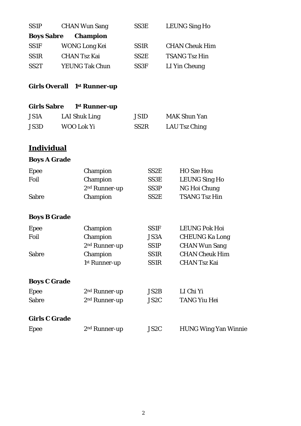| <b>SS1P</b>          | <b>CHAN Wun Sang</b>      | SS3E              | <b>LEUNG Sing Ho</b>        |
|----------------------|---------------------------|-------------------|-----------------------------|
| <b>Boys Sabre</b>    | <b>Champion</b>           |                   |                             |
| <b>SS1F</b>          | <b>WONG Long Kei</b>      | <b>SS1R</b>       | <b>CHAN Cheuk Him</b>       |
| <b>SS1R</b>          | <b>CHAN Tsz Kai</b>       | SS <sub>2</sub> E | <b>TSANG Tsz Hin</b>        |
| SS <sub>2</sub> T    | <b>YEUNG Tak Chun</b>     | SS3F              | LI Yin Cheung               |
| <b>Girls Overall</b> | 1 <sup>st</sup> Runner-up |                   |                             |
| <b>Girls Sabre</b>   | 1 <sup>st</sup> Runner-up |                   |                             |
| <b>JS1A</b>          | <b>LAI Shuk Ling</b>      | <b>JS1D</b>       | <b>MAK Shun Yan</b>         |
| JS3D                 | WOO Lok Yi                | SS <sub>2</sub> R | LAU Tsz Ching               |
| <b>Individual</b>    |                           |                   |                             |
| <b>Boys A Grade</b>  |                           |                   |                             |
| Epee                 | Champion                  | SS2E              | <b>HO Sze Hou</b>           |
| Foil                 | Champion                  | SS3E              | <b>LEUNG Sing Ho</b>        |
|                      | 2 <sup>nd</sup> Runner-up | SS3P              | NG Hoi Chung                |
| <b>Sabre</b>         | Champion                  | SS2E              | <b>TSANG Tsz Hin</b>        |
| <b>Boys B Grade</b>  |                           |                   |                             |
| <b>Epee</b>          | Champion                  | SS1F              | <b>LEUNG Pok Hoi</b>        |
| Foil                 | Champion                  | JS3A              | <b>CHEUNG Ka Long</b>       |
|                      | 2 <sup>nd</sup> Runner-up | <b>SS1P</b>       | <b>CHAN Wun Sang</b>        |
| <b>Sabre</b>         | Champion                  | <b>SS1R</b>       | <b>CHAN Cheuk Him</b>       |
|                      | 1st Runner-up             | <b>SS1R</b>       | <b>CHAN Tsz Kai</b>         |
| <b>Boys C Grade</b>  |                           |                   |                             |
| <b>Epee</b>          | 2 <sup>nd</sup> Runner-up | <b>JS2B</b>       | LI Chi Yi                   |
| <b>Sabre</b>         | 2 <sup>nd</sup> Runner-up | JS2C              | <b>TANG Yiu Hei</b>         |
| <b>Girls C Grade</b> |                           |                   |                             |
| <b>Epee</b>          | 2 <sup>nd</sup> Runner-up | JS <sub>2</sub> C | <b>HUNG Wing Yan Winnie</b> |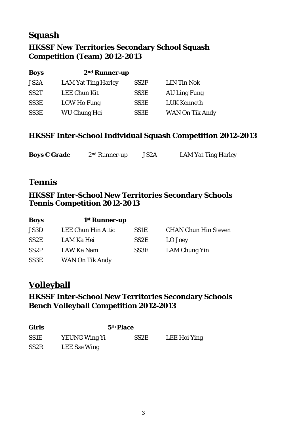## **Squash**

## **HKSSF New Territories Secondary School Squash Competition (Team) 2012-2013**

| <b>Boys</b>       | 2 <sup>nd</sup> Runner-up  |                   |                        |
|-------------------|----------------------------|-------------------|------------------------|
| JS <sub>2</sub> A | <b>LAM Yat Ting Harley</b> | SS <sub>2F</sub>  | <b>LIN Tin Nok</b>     |
| SS <sub>2</sub> T | <b>LEE Chun Kit</b>        | SS3E              | <b>AU Ling Fung</b>    |
| SS <sub>3</sub> E | LOW Ho Fung                | SS <sub>3</sub> E | <b>LUK Kenneth</b>     |
| SS <sub>3</sub> E | <b>WU Chung Hei</b>        | SS <sub>3</sub> E | <b>WAN On Tik Andy</b> |

#### **HKSSF Inter-School Individual Squash Competition 2012-2013**

| <b>Boys C Grade</b> | $2nd$ Runner-up | JS <sub>2</sub> A | <b>LAM Yat Ting Harley</b> |
|---------------------|-----------------|-------------------|----------------------------|
|                     |                 |                   |                            |

## **Tennis**

#### **HKSSF Inter-School New Territories Secondary Schools Tennis Competition 2012-2013**

| <b>Boys</b>       | 1 <sup>st</sup> Runner-up |                   |                             |
|-------------------|---------------------------|-------------------|-----------------------------|
| JS3D              | LEE Chun Hin Attic        | <b>SS1E</b>       | <b>CHAN Chun Hin Steven</b> |
| SS <sub>2</sub> E | LAM Ka Hei                | SS <sub>2</sub> E | LO Joey                     |
| SS <sub>2</sub> P | LAW Ka Nam                | SS3E              | LAM Chung Yin               |
| SS3E              | <b>WAN On Tik Andy</b>    |                   |                             |

## **Volleyball**

### **HKSSF Inter-School New Territories Secondary Schools Bench Volleyball Competition 2012-2013**

| <b>Girls</b>      | 5th Place            |                   |              |
|-------------------|----------------------|-------------------|--------------|
| <b>SS1E</b>       | <b>YEUNG Wing Yi</b> | SS <sub>2</sub> E | LEE Hoi Ying |
| SS <sub>2</sub> R | LEE Sze Wing         |                   |              |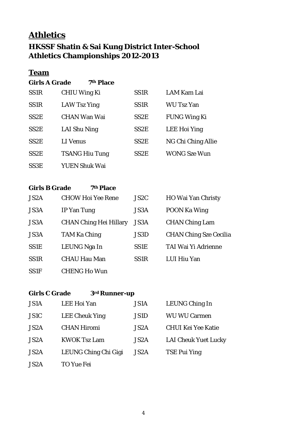# **Athletics**

## **HKSSF Shatin & Sai Kung District Inter-School Athletics Championships 2012-2013**

### **Team**

#### **Girls A Grade 7th Place**

| SS <sub>1</sub> R | <b>CHIU Wing Ki</b>   | SS <sub>1</sub> R | LAM Kam Lai         |
|-------------------|-----------------------|-------------------|---------------------|
| SS <sub>1</sub> R | LAW Tsz Ying          | SS <sub>1</sub> R | <b>WU Tsz Yan</b>   |
| SS <sub>2</sub> E | <b>CHAN Wan Wai</b>   | SS <sub>2</sub> E | <b>FUNG Wing Ki</b> |
| SS <sub>2</sub> E | LAI Shu Ning          | SS <sub>2</sub> E | LEE Hoi Ying        |
| SS <sub>2</sub> E | <b>LI</b> Venus       | SS <sub>2</sub> E | NG Chi Ching Allie  |
| SS <sub>2</sub> E | <b>TSANG Hiu Tung</b> | SS <sub>2</sub> E | <b>WONG Sze Wun</b> |
| SS3E              | YUEN Shuk Wai         |                   |                     |

#### **Girls B Grade 7th Place**

| JS <sub>2</sub> A | <b>CHOW Hoi Yee Rene</b>      | JS <sub>2</sub> C | <b>HO Wai Yan Christy</b>     |
|-------------------|-------------------------------|-------------------|-------------------------------|
| <b>JS3A</b>       | <b>IP Yan Tung</b>            | <b>JS3A</b>       | <b>POON Ka Wing</b>           |
| JS3A              | <b>CHAN Ching Hei Hillary</b> | <b>JS3A</b>       | <b>CHAN Ching Lam</b>         |
| <b>JS3A</b>       | <b>TAM Ka Ching</b>           | JS3D              | <b>CHAN Ching Sze Cecilia</b> |
| <b>SS1E</b>       | LEUNG Nga In                  | <b>SS1E</b>       | TAI Wai Yi Adrienne           |
| SS <sub>1</sub> R | <b>CHAU Hau Man</b>           | SS <sub>1</sub> R | LUI Hiu Yan                   |
| <b>SS1F</b>       | <b>CHENG Ho Wun</b>           |                   |                               |

#### **Girls C Grade 3rd Runner-up**

| <b>JS1A</b>       | LEE Hoi Yan           | <b>JS1A</b>       | LEUNG Ching In              |
|-------------------|-----------------------|-------------------|-----------------------------|
| <b>JS1C</b>       | <b>LEE Cheuk Ying</b> | JS1D              | <b>WU WU Carmen</b>         |
| JS <sub>2</sub> A | <b>CHAN Hiromi</b>    | JS <sub>2</sub> A | <b>CHUI Kei Yee Katie</b>   |
| JS <sub>2</sub> A | <b>KWOK Tsz Lam</b>   | JS <sub>2</sub> A | <b>LAI Cheuk Yuet Lucky</b> |
| JS <sub>2</sub> A | LEUNG Ching Chi Gigi  | JS <sub>2</sub> A | <b>TSE Pui Ying</b>         |
| JS <sub>2</sub> A | TO Yue Fei            |                   |                             |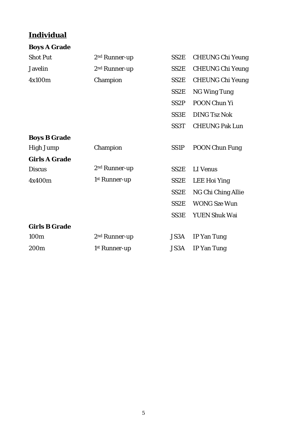| <b>Boys A Grade</b>  |                           |                   |                         |
|----------------------|---------------------------|-------------------|-------------------------|
| <b>Shot Put</b>      | 2 <sup>nd</sup> Runner-up | SS <sub>2</sub> E | <b>CHEUNG Chi Yeung</b> |
| <b>Javelin</b>       | 2 <sup>nd</sup> Runner-up | SS <sub>2</sub> E | <b>CHEUNG Chi Yeung</b> |
| 4x100m               | Champion                  | SS <sub>2</sub> E | <b>CHEUNG Chi Yeung</b> |
|                      |                           | SS <sub>2</sub> E | <b>NG Wing Tung</b>     |
|                      |                           | SS <sub>2</sub> P | POON Chun Yi            |
|                      |                           | SS3E              | <b>DING Tsz Nok</b>     |
|                      |                           | SS <sub>3</sub> T | <b>CHEUNG Pak Lun</b>   |
| <b>Boys B Grade</b>  |                           |                   |                         |
| <b>High Jump</b>     | Champion                  | <b>SS1P</b>       | <b>POON Chun Fung</b>   |
| <b>Girls A Grade</b> |                           |                   |                         |
| <b>Discus</b>        | 2 <sup>nd</sup> Runner-up | SS <sub>2</sub> E | <b>LI</b> Venus         |
| 4x400m               | 1st Runner-up             | SS <sub>2</sub> E | <b>LEE Hoi Ying</b>     |
|                      |                           | SS <sub>2</sub> E | NG Chi Ching Allie      |
|                      |                           | SS <sub>2</sub> E | <b>WONG Sze Wun</b>     |
|                      |                           | <b>SS3E</b>       | <b>YUEN Shuk Wai</b>    |
| <b>Girls B Grade</b> |                           |                   |                         |
| 100m                 | 2 <sup>nd</sup> Runner-up | <b>JS3A</b>       | IP Yan Tung             |
| 200 <sub>m</sub>     | 1st Runner-up             | JS3A              | <b>IP Yan Tung</b>      |
|                      |                           |                   |                         |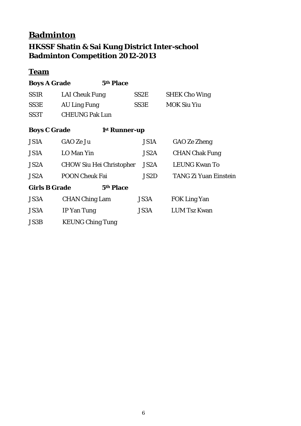# **Badminton HKSSF Shatin & Sai Kung District Inter-school Badminton Competition 2012-2013**

## **Team**

| <b>Boys A Grade</b>  |                                 | 5th Place                 |                   |                              |
|----------------------|---------------------------------|---------------------------|-------------------|------------------------------|
| <b>SS1R</b>          | <b>LAI Cheuk Fung</b>           |                           | SS <sub>2</sub> E | <b>SHEK Cho Wing</b>         |
| SS3E                 | <b>AU Ling Fung</b>             |                           | SS3E              | <b>MOK Siu Yiu</b>           |
| SS <sub>3</sub> T    | <b>CHEUNG Pak Lun</b>           |                           |                   |                              |
| <b>Boys C Grade</b>  |                                 | 1 <sup>st</sup> Runner-up |                   |                              |
| <b>JS1A</b>          | GAO Ze Ju                       |                           | JS1A              | GAO Ze Zheng                 |
| JS1A                 | LO Man Yin                      |                           | JS2A              | <b>CHAN Chak Fung</b>        |
| JS2A                 | <b>CHOW Siu Hei Christopher</b> |                           | JS2A              | <b>LEUNG Kwan To</b>         |
| JS <sub>2</sub> A    | <b>POON Cheuk Fai</b>           |                           | JS2D              | <b>TANG Zi Yuan Einstein</b> |
| <b>Girls B Grade</b> |                                 | 5th Place                 |                   |                              |
| JS3A                 | <b>CHAN Ching Lam</b>           |                           | <b>JS3A</b>       | <b>FOK Ling Yan</b>          |
| JS3A                 | IP Yan Tung                     |                           | JS3A              | <b>LUM Tsz Kwan</b>          |
| JS3B                 | <b>KEUNG Ching Tung</b>         |                           |                   |                              |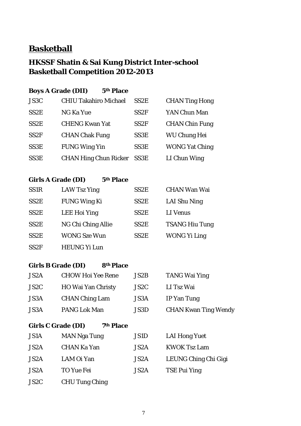## **Basketball**

## **HKSSF Shatin & Sai Kung District Inter-school Basketball Competition 2012-2013**

| <b>Boys A Grade (DII)</b> | 5th Place                    |                   |                       |
|---------------------------|------------------------------|-------------------|-----------------------|
| JS3C                      | <b>CHIU Takahiro Michael</b> | SS <sub>2</sub> E | <b>CHAN Ting Hong</b> |
| SS <sub>2</sub> E         | <b>NG Ka Yue</b>             | SS2F              | YAN Chun Man          |
| SS <sub>2</sub> E         | <b>CHENG Kwan Yat</b>        | SS <sub>2F</sub>  | <b>CHAN Chin Fung</b> |
| SS <sub>2F</sub>          | <b>CHAN Chak Fung</b>        | SS <sub>3</sub> E | <b>WU Chung Hei</b>   |
| SS3E                      | <b>FUNG Wing Yin</b>         | SS3E              | <b>WONG Yat Ching</b> |
| SS3E                      | <b>CHAN Hing Chun Ricker</b> | SS <sub>3</sub> E | LI Chun Wing          |
|                           |                              |                   |                       |

#### **Girls A Grade (DI) 5th Place**

| SS <sub>1</sub> R | <b>LAW Tsz Ying</b> | SS <sub>2</sub> E | <b>CHAN Wan Wai</b>   |
|-------------------|---------------------|-------------------|-----------------------|
| SS <sub>2</sub> E | <b>FUNG Wing Ki</b> | SS <sub>2</sub> E | LAI Shu Ning          |
| SS <sub>2</sub> E | <b>LEE Hoi Ying</b> | SS <sub>2</sub> E | LI Venus              |
| SS <sub>2</sub> E | NG Chi Ching Allie  | SS <sub>2</sub> E | <b>TSANG Hiu Tung</b> |
| SS <sub>2</sub> E | <b>WONG Sze Wun</b> | SS <sub>2</sub> E | <b>WONG Yi Ling</b>   |
| SS2F              | <b>HEUNG Yi Lun</b> |                   |                       |

#### **Girls B Grade (DI) 8th Place**

| JS <sub>2</sub> A | <b>CHOW Hoi Yee Rene</b>  | JS2B | TANG Wai Ying               |
|-------------------|---------------------------|------|-----------------------------|
| JS2C              | <b>HO Wai Yan Christy</b> | JS2C | LI Tsz Wai                  |
| <b>JS3A</b>       | <b>CHAN Ching Lam</b>     | JS3A | IP Yan Tung                 |
| <b>JS3A</b>       | <b>PANG Lok Man</b>       | JS3D | <b>CHAN Kwan Ting Wendy</b> |

#### **Girls C Grade (DI) 7th Place**

| <b>JS1A</b>       | <b>MAN Nga Tung</b>   | JS1D              | <b>LAI Hong Yuet</b> |
|-------------------|-----------------------|-------------------|----------------------|
| JS <sub>2</sub> A | CHAN Ka Yan           | JS <sub>2</sub> A | <b>KWOK Tsz Lam</b>  |
| JS <sub>2</sub> A | LAM Oi Yan            | JS <sub>2</sub> A | LEUNG Ching Chi Gigi |
| JS <sub>2</sub> A | TO Yue Fei            | JS <sub>2</sub> A | TSE Pui Ying         |
| JS <sub>2</sub> C | <b>CHU Tung Ching</b> |                   |                      |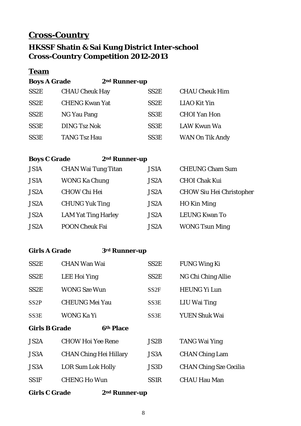## **Cross-Country**

## **HKSSF Shatin & Sai Kung District Inter-school Cross-Country Competition 2012-2013**

#### **Team**

**Boys A Grade 2nd Runner-up**

| SS <sub>2</sub> E | <b>CHAU Cheuk Hay</b> | SS <sub>2</sub> E | <b>CHAU Cheuk Him</b>  |
|-------------------|-----------------------|-------------------|------------------------|
| SS <sub>2</sub> E | <b>CHENG Kwan Yat</b> | SS <sub>2</sub> E | <b>LIAO Kit Yin</b>    |
| SS <sub>2</sub> E | NG Yau Pang           | SS <sub>3</sub> E | <b>CHOI</b> Yan Hon    |
| SS3E              | <b>DING Tsz Nok</b>   | SS <sub>3</sub> E | LAW Kwun Wa            |
| SS3E              | <b>TANG Tsz Hau</b>   | SS <sub>3</sub> E | <b>WAN On Tik Andy</b> |

#### **Boys C Grade 2nd Runner-up**

| <b>JS1A</b>       | <b>CHAN Wai Tung Titan</b> | <b>JS1A</b>       | <b>CHEUNG Cham Sum</b>          |
|-------------------|----------------------------|-------------------|---------------------------------|
| <b>JS1A</b>       | <b>WONG Ka Chung</b>       | JS <sub>2</sub> A | <b>CHOI Chak Kui</b>            |
| JS <sub>2</sub> A | <b>CHOW Chi Hei</b>        | JS <sub>2</sub> A | <b>CHOW Siu Hei Christopher</b> |
| JS <sub>2</sub> A | <b>CHUNG Yuk Ting</b>      | JS <sub>2</sub> A | <b>HO</b> Kin Ming              |
| JS <sub>2</sub> A | <b>LAM Yat Ting Harley</b> | JS <sub>2</sub> A | <b>LEUNG Kwan To</b>            |
| JS <sub>2</sub> A | <b>POON Cheuk Fai</b>      | JS <sub>2</sub> A | <b>WONG Tsun Ming</b>           |

#### **Girls A Grade 3rd Runner-up**

| <b>Girls C Grade</b><br>2 <sup>nd</sup> Runner-up |                               |                   |                               |  |
|---------------------------------------------------|-------------------------------|-------------------|-------------------------------|--|
| <b>SS1F</b>                                       | <b>CHENG Ho Wun</b>           | SS <sub>1</sub> R | <b>CHAU Hau Man</b>           |  |
| JS3A                                              | <b>LOR Sum Lok Holly</b>      | JS3D              | <b>CHAN Ching Sze Cecilia</b> |  |
| JS3A                                              | <b>CHAN Ching Hei Hillary</b> | <b>JS3A</b>       | <b>CHAN Ching Lam</b>         |  |
| JS <sub>2</sub> A                                 | <b>CHOW Hoi Yee Rene</b>      | JS2B              | <b>TANG Wai Ying</b>          |  |
| <b>Girls B Grade</b>                              | 6th Place                     |                   |                               |  |
| SS3E                                              | WONG Ka Yi                    | SS3E              | YUEN Shuk Wai                 |  |
| SS <sub>2</sub> P                                 | <b>CHEUNG Mei Yau</b>         | SS3E              | LIU Wai Ting                  |  |
| SS <sub>2</sub> E                                 | <b>WONG Sze Wun</b>           | SS <sub>2F</sub>  | <b>HEUNG Yi Lun</b>           |  |
| SS <sub>2</sub> E                                 | LEE Hoi Ying                  | SS <sub>2</sub> E | NG Chi Ching Allie            |  |
| SS <sub>2</sub> E                                 | <b>CHAN Wan Wai</b>           | SS <sub>2</sub> E | <b>FUNG Wing Ki</b>           |  |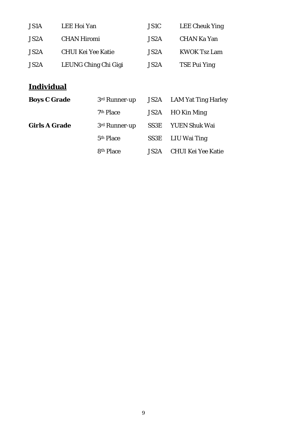| JS1A              | LEE Hoi Yan               | <b>JS1C</b>       | <b>LEE Cheuk Ying</b> |
|-------------------|---------------------------|-------------------|-----------------------|
| JS2A              | <b>CHAN Hiromi</b>        | JS <sub>2</sub> A | <b>CHAN Ka Yan</b>    |
| JS <sub>2</sub> A | <b>CHUI Kei Yee Katie</b> | JS <sub>2</sub> A | <b>KWOK Tsz Lam</b>   |
| JS2A              | LEUNG Ching Chi Gigi      | JS <sub>2</sub> A | <b>TSE Pui Ying</b>   |

| <b>Boys C Grade</b>  | 3rd Runner-up             | JS2A | LAM Yat Ting Harley       |
|----------------------|---------------------------|------|---------------------------|
|                      | 7th Place                 | JS2A | HO Kin Ming               |
| <b>Girls A Grade</b> | 3 <sup>rd</sup> Runner-up | SS3E | <b>YUEN Shuk Wai</b>      |
|                      | 5 <sup>th</sup> Place     | SS3E | LIU Wai Ting              |
|                      | 8 <sup>th</sup> Place     | JS2A | <b>CHUI Kei Yee Katie</b> |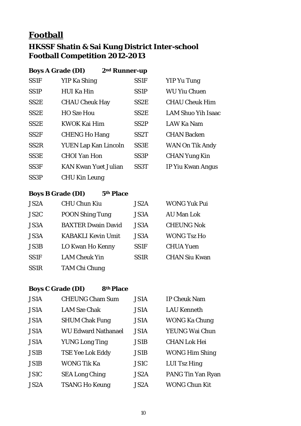## **Football**

## **HKSSF Shatin & Sai Kung District Inter-school Football Competition 2012-2013**

|                   | <b>Boys A Grade (DI)</b><br>2 <sup>nd</sup> Runner-up |                   |                           |
|-------------------|-------------------------------------------------------|-------------------|---------------------------|
| <b>SS1F</b>       | YIP Ka Shing                                          | <b>SS1F</b>       | <b>YIP Yu Tung</b>        |
| SS <sub>1</sub> P | <b>HUI Ka Hin</b>                                     | SS <sub>1</sub> P | <b>WU Yiu Chuen</b>       |
| SS <sub>2</sub> E | <b>CHAU Cheuk Hay</b>                                 | SS <sub>2</sub> E | <b>CHAU Cheuk Him</b>     |
| SS <sub>2</sub> E | <b>HO Sze Hou</b>                                     | SS <sub>2</sub> E | <b>LAM Shuo Yih Isaac</b> |
| SS <sub>2</sub> E | <b>KWOK Kai Him</b>                                   | SS <sub>2</sub> P | LAW Ka Nam                |
| SS <sub>2F</sub>  | <b>CHENG Ho Hang</b>                                  | SS <sub>2</sub> T | <b>CHAN Backen</b>        |
| SS <sub>2</sub> R | <b>YUEN Lap Kan Lincoln</b>                           | SS <sub>3</sub> E | <b>WAN On Tik Andy</b>    |
| SS3E              | <b>CHOI Yan Hon</b>                                   | SS <sub>3</sub> P | <b>CHAN Yung Kin</b>      |
| SS <sub>3F</sub>  | <b>KAN Kwan Yuet Julian</b>                           | SS <sub>3</sub> T | IP Yiu Kwan Angus         |
| SS <sub>3</sub> P | <b>CHU Kin Leung</b>                                  |                   |                           |

### **Boys B Grade (DI) 5th Place**

| JS <sub>2</sub> A | <b>CHU Chun Kiu</b>       | JS <sub>2</sub> A | <b>WONG Yuk Pui</b>  |
|-------------------|---------------------------|-------------------|----------------------|
| JS <sub>2</sub> C | <b>POON Shing Tung</b>    | JS3A              | <b>AU Man Lok</b>    |
| JS3A              | <b>BAXTER Dwain David</b> | JS3A              | <b>CHEUNG Nok</b>    |
| JS3A              | <b>KABAKLI Kevin Umit</b> | JS3A              | <b>WONG Tsz Ho</b>   |
| <b>JS3B</b>       | LO Kwan Ho Kenny          | <b>SS1F</b>       | <b>CHUA Yuen</b>     |
| <b>SS1F</b>       | <b>LAM Cheuk Yin</b>      | SS <sub>1</sub> R | <b>CHAN Siu Kwan</b> |
| <b>SS1R</b>       | <b>TAM Chi Chung</b>      |                   |                      |

## **Boys C Grade (DI) 8th Place**

| JS1A              | <b>CHEUNG Cham Sum</b>     | <b>JS1A</b>       | <b>IP Cheuk Nam</b>      |
|-------------------|----------------------------|-------------------|--------------------------|
| JS1A              | <b>LAM Sze Chak</b>        | <b>JS1A</b>       | <b>LAU Kenneth</b>       |
| <b>JS1A</b>       | <b>SHUM Chak Fung</b>      | <b>JS1A</b>       | <b>WONG Ka Chung</b>     |
| JS1A              | <b>WU Edward Nathanael</b> | <b>JS1A</b>       | YEUNG Wai Chun           |
| JS1A              | <b>YUNG Long Ting</b>      | <b>JS1B</b>       | <b>CHAN Lok Hei</b>      |
| JS1B              | <b>TSE Yee Lok Eddy</b>    | <b>JS1B</b>       | <b>WONG Him Shing</b>    |
| <b>JS1B</b>       | <b>WONG Tik Ka</b>         | <b>JS1C</b>       | LUI Tsz Hing             |
| JS1C              | <b>SEA Long Ching</b>      | JS2A              | <b>PANG Tin Yan Ryan</b> |
| JS <sub>2</sub> A | <b>TSANG Ho Keung</b>      | JS <sub>2</sub> A | <b>WONG Chun Kit</b>     |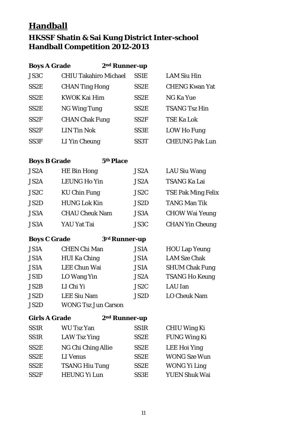## **Handball**

## **HKSSF Shatin & Sai Kung District Inter-school Handball Competition 2012-2013**

| <b>Boys A Grade</b><br>2 <sup>nd</sup> Runner-up |                              |                   |                       |
|--------------------------------------------------|------------------------------|-------------------|-----------------------|
| JS3C                                             | <b>CHIU Takahiro Michael</b> | SS <sub>1</sub> E | <b>LAM Siu Hin</b>    |
| SS <sub>2</sub> E                                | <b>CHAN Ting Hong</b>        | SS <sub>2</sub> E | <b>CHENG Kwan Yat</b> |
| SS <sub>2</sub> E                                | <b>KWOK Kai Him</b>          | SS <sub>2</sub> E | <b>NG Ka Yue</b>      |
| SS <sub>2</sub> E                                | <b>NG Wing Tung</b>          | SS <sub>2</sub> E | <b>TSANG Tsz Hin</b>  |
| SS <sub>2F</sub>                                 | <b>CHAN Chak Fung</b>        | SS2F              | <b>TSE Ka Lok</b>     |
| SS <sub>2F</sub>                                 | <b>LIN Tin Nok</b>           | SS3E              | LOW Ho Fung           |
| SS <sub>3F</sub>                                 | LI Yin Cheung                | SS <sub>3</sub> T | <b>CHEUNG Pak Lun</b> |

#### **Boys B Grade 5th Place**

| JS <sub>2</sub> A | <b>HE Bin Hong</b>    | JS <sub>2</sub> A | <b>LAU Siu Wang</b>       |
|-------------------|-----------------------|-------------------|---------------------------|
| JS <sub>2</sub> A | <b>LEUNG Ho Yin</b>   | JS <sub>2</sub> A | <b>TSANG Ka Lai</b>       |
| JS <sub>2</sub> C | <b>KU Chin Fung</b>   | JS <sub>2</sub> C | <b>TSE Pak Ming Felix</b> |
| JS <sub>2</sub> D | <b>HUNG Lok Kin</b>   | JS <sub>2</sub> D | <b>TANG Man Tik</b>       |
| JS3A              | <b>CHAU Cheuk Nam</b> | JS3A              | <b>CHOW Wai Yeung</b>     |
| JS3A              | YAU Yat Tai           | JS3C              | <b>CHAN Yin Cheung</b>    |

| <b>Boys C Grade</b> | 3 <sup>rd</sup> Runner-up |
|---------------------|---------------------------|
|---------------------|---------------------------|

| <b>JS1A</b> | <b>CHEN Chi Man</b>        | <b>JS1A</b>       | <b>HOU Lap Yeung</b>  |
|-------------|----------------------------|-------------------|-----------------------|
| <b>JS1A</b> | <b>HUI Ka Ching</b>        | <b>JS1A</b>       | <b>LAM Sze Chak</b>   |
| <b>JS1A</b> | <b>LEE Chun Wai</b>        | <b>JS1A</b>       | <b>SHUM Chak Fung</b> |
| <b>JS1D</b> | LO Wang Yin                | JS <sub>2</sub> A | <b>TSANG Ho Keung</b> |
| JS2B        | LI Chi Yi                  | JS <sub>2</sub> C | <b>LAU</b> Ian        |
| <b>JS2D</b> | <b>LEE Siu Nam</b>         | JS2D              | <b>LO Cheuk Nam</b>   |
| <b>JS2D</b> | <b>WONG Tsz Jun Carson</b> |                   |                       |

| <b>Girls A Grade</b> |                       | 2 <sup>nd</sup> Runner-up |                      |
|----------------------|-----------------------|---------------------------|----------------------|
| <b>SS1R</b>          | <b>WU Tsz Yan</b>     | SS <sub>1R</sub>          | <b>CHIU Wing Ki</b>  |
| <b>SS1R</b>          | <b>LAW Tsz Ying</b>   | SS <sub>2</sub> E         | <b>FUNG Wing Ki</b>  |
| SS <sub>2</sub> E    | NG Chi Ching Allie    | SS <sub>2</sub> E         | <b>LEE Hoi Ying</b>  |
| SS <sub>2</sub> E    | LI Venus              | SS <sub>2</sub> E         | <b>WONG Sze Wun</b>  |
| SS <sub>2</sub> E    | <b>TSANG Hiu Tung</b> | SS <sub>2</sub> E         | <b>WONG Yi Ling</b>  |
| SS <sub>2F</sub>     | <b>HEUNG Yi Lun</b>   | SS3E                      | <b>YUEN Shuk Wai</b> |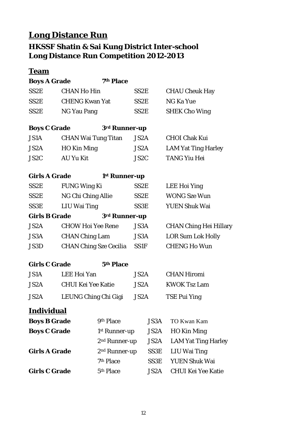## **Long Distance Run**

## **HKSSF Shatin & Sai Kung District Inter-school Long Distance Run Competition 2012-2013**

#### **Team**

| <b>Boys A Grade</b> | 7th Place |
|---------------------|-----------|
|                     |           |

| SS2E | <b>CHAN Ho Hin</b>    | SS2E | <b>CHAU Cheuk Hay</b> |
|------|-----------------------|------|-----------------------|
| SS2E | <b>CHENG Kwan Yat</b> | SS2E | NG Ka Yue             |
| SS2E | NG Yau Pang           | SS2E | <b>SHEK Cho Wing</b>  |

| <b>Boys C Grade</b> | 3rd Runner-up              |      |                            |
|---------------------|----------------------------|------|----------------------------|
| <b>JS1A</b>         | <b>CHAN Wai Tung Titan</b> | JS2A | <b>CHOI Chak Kui</b>       |
| JS2A                | HO Kin Ming                | JS2A | <b>LAM Yat Ting Harley</b> |

JS2C AU Yu Kit JS2C TANG Yiu Hei

LEE Hoi Ying

WONG Sze Wun

YUEN Shuk Wai

CHAN Ching Hei Hillary

LOR Sum Lok Holly

**CHENG Ho Wun** 

| <b>Girls A Grade</b><br>1 <sup>st</sup> Runner-up |
|---------------------------------------------------|
|---------------------------------------------------|

| SS <sub>2</sub> E    | <b>FUNG Wing Ki</b>           | SS <sub>2</sub> E |
|----------------------|-------------------------------|-------------------|
| SS <sub>2</sub> E    | NG Chi Ching Allie            | SS <sub>2</sub> E |
| SS3E                 | <b>LIU Wai Ting</b>           | SS3E              |
| <b>Girls B Grade</b> | 3rd Runner-up                 |                   |
| JS <sub>2</sub> A    | <b>CHOW Hoi Yee Rene</b>      | <b>JS3A</b>       |
| JS3A                 | <b>CHAN Ching Lam</b>         | <b>JS3A</b>       |
| JS3D                 | <b>CHAN Ching Sze Cecilia</b> | <b>SS1F</b>       |

| <b>Girls C Grade</b> |  | 5th Place |
|----------------------|--|-----------|
|                      |  |           |

| <b>JS1A</b>       | LEE Hoi Yan          | JS2A | <b>CHAN Hiromi</b>  |
|-------------------|----------------------|------|---------------------|
| JS <sub>2</sub> A | CHUI Kei Yee Katie   | JS2A | <b>KWOK Tsz Lam</b> |
| JS <sub>2</sub> A | LEUNG Ching Chi Gigi | JS2A | TSE Pui Ying        |

| <b>Boys B Grade</b>  | 9th Place                 | JS3A              | TO Kwan Kam                |
|----------------------|---------------------------|-------------------|----------------------------|
| <b>Boys C Grade</b>  | 1 <sup>st</sup> Runner-up | JS <sub>2</sub> A | <b>HO Kin Ming</b>         |
|                      | $2nd$ Runner-up           | JS2A              | <b>LAM Yat Ting Harley</b> |
| <b>Girls A Grade</b> | $2nd$ Runner-up           | SS3E              | LIU Wai Ting               |
|                      | 7th Place                 | SS <sub>3</sub> E | <b>YUEN Shuk Wai</b>       |
| <b>Girls C Grade</b> | 5th Place                 | JS2A              | <b>CHUI Kei Yee Katie</b>  |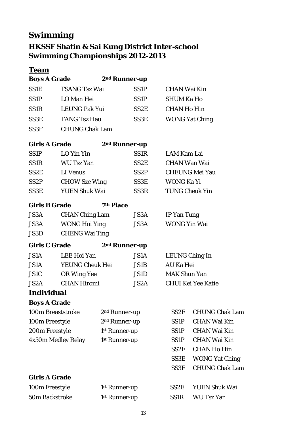# **Swimming**

## **HKSSF Shatin & Sai Kung District Inter-school Swimming Championships 2012-2013**

### **Team**

| <b>Boys A Grade</b>   |                       | 2 <sup>nd</sup> Runner-up |                   |                       |                           |
|-----------------------|-----------------------|---------------------------|-------------------|-----------------------|---------------------------|
| <b>SS1E</b>           | <b>TSANG Tsz Wai</b>  |                           | <b>SS1P</b>       | <b>CHAN Wai Kin</b>   |                           |
| <b>SS1P</b>           | LO Man Hei            |                           | SS <sub>1</sub> P | <b>SHUM Ka Ho</b>     |                           |
| SS1 <sub>R</sub>      | <b>LEUNG Pak Yui</b>  |                           | SS2E              | <b>CHAN Ho Hin</b>    |                           |
| SS3E                  | <b>TANG Tsz Hau</b>   |                           | SS3E              | <b>WONG Yat Ching</b> |                           |
| SS <sub>3F</sub>      | <b>CHUNG Chak Lam</b> |                           |                   |                       |                           |
|                       |                       |                           |                   |                       |                           |
| <b>Girls A Grade</b>  |                       | 2 <sup>nd</sup> Runner-up |                   |                       |                           |
| <b>SS1P</b>           | LO Yin Yin            |                           | <b>SS1R</b>       | <b>LAM Kam Lai</b>    |                           |
| <b>SS1R</b>           | <b>WU Tsz Yan</b>     |                           | SS2E              | <b>CHAN Wan Wai</b>   |                           |
| SS <sub>2</sub> E     | LI Venus              |                           | SS2P              | <b>CHEUNG Mei Yau</b> |                           |
| SS <sub>2</sub> P     | <b>CHOW Sze Wing</b>  |                           | SS3E              | <b>WONG Ka Yi</b>     |                           |
| SS3E                  | <b>YUEN Shuk Wai</b>  |                           | SS3R              | <b>TUNG Cheuk Yin</b> |                           |
| <b>Girls B Grade</b>  |                       | 7th Place                 |                   |                       |                           |
| <b>JS3A</b>           | <b>CHAN Ching Lam</b> |                           | JS3A              | IP Yan Tung           |                           |
| JS3A                  | <b>WONG Hoi Ying</b>  |                           | JS3A              | <b>WONG Yin Wai</b>   |                           |
| JS3D                  | <b>CHENG Wai Ting</b> |                           |                   |                       |                           |
| <b>Girls C Grade</b>  |                       | 2 <sup>nd</sup> Runner-up |                   |                       |                           |
| <b>JS1A</b>           | LEE Hoi Yan           |                           | <b>JS1A</b>       | LEUNG Ching In        |                           |
| <b>JS1A</b>           | YEUNG Cheuk Hei       |                           | <b>JS1B</b>       | <b>AU Ka Hei</b>      |                           |
| <b>JS1C</b>           | OR Wing Yee           |                           | JS1D              | <b>MAK Shun Yan</b>   |                           |
| JS2A                  | <b>CHAN Hiromi</b>    |                           | JS2A              |                       | <b>CHUI Kei Yee Katie</b> |
| <b>Individual</b>     |                       |                           |                   |                       |                           |
| <b>Boys A Grade</b>   |                       |                           |                   |                       |                           |
| 100m Breaststroke     |                       | 2 <sup>nd</sup> Runner-up |                   | SS <sub>2F</sub>      | <b>CHUNG Chak Lam</b>     |
| 100m Freestyle        |                       | 2 <sup>nd</sup> Runner-up |                   | SS <sub>1</sub> P     | <b>CHAN Wai Kin</b>       |
| 200m Freestyle        |                       | 1 <sup>st</sup> Runner-up |                   | SS <sub>1</sub> P     | <b>CHAN Wai Kin</b>       |
| 4x50m Medley Relay    |                       | 1 <sup>st</sup> Runner-up |                   | SS <sub>1</sub> P     | <b>CHAN Wai Kin</b>       |
|                       |                       |                           |                   | SS <sub>2</sub> E     | <b>CHAN Ho Hin</b>        |
|                       |                       |                           |                   | SS3E                  | <b>WONG Yat Ching</b>     |
|                       |                       |                           |                   | SS <sub>3F</sub>      | <b>CHUNG Chak Lam</b>     |
| <b>Girls A Grade</b>  |                       |                           |                   |                       |                           |
| 100m Freestyle        |                       | 1 <sup>st</sup> Runner-up |                   | SS <sub>2</sub> E     | <b>YUEN Shuk Wai</b>      |
| <b>50m Backstroke</b> |                       | 1 <sup>st</sup> Runner-up |                   | SS <sub>1R</sub>      | <b>WU Tsz Yan</b>         |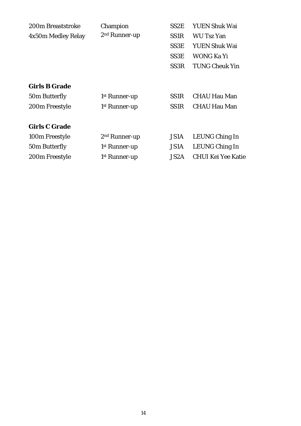| 200m Breaststroke    | Champion                  | SS2E              | <b>YUEN Shuk Wai</b>      |
|----------------------|---------------------------|-------------------|---------------------------|
| 4x50m Medley Relay   | 2 <sup>nd</sup> Runner-up | SS <sub>1</sub> R | <b>WU Tsz Yan</b>         |
|                      |                           | SS3E              | <b>YUEN Shuk Wai</b>      |
|                      |                           | SS3E              | WONG Ka Yi                |
|                      |                           | SS <sub>3</sub> R | <b>TUNG Cheuk Yin</b>     |
| <b>Girls B Grade</b> |                           |                   |                           |
| 50m Butterfly        | 1 <sup>st</sup> Runner-up | SS <sub>1</sub> R | <b>CHAU Hau Man</b>       |
| 200m Freestyle       | 1 <sup>st</sup> Runner-up | SS <sub>1</sub> R | <b>CHAU Hau Man</b>       |
| <b>Girls C Grade</b> |                           |                   |                           |
| 100m Freestyle       | 2 <sup>nd</sup> Runner-up | <b>JS1A</b>       | <b>LEUNG Ching In</b>     |
| 50m Butterfly        | 1 <sup>st</sup> Runner-up | <b>JS1A</b>       | LEUNG Ching In            |
| 200m Freestyle       | 1 <sup>st</sup> Runner-up | JS <sub>2</sub> A | <b>CHUI Kei Yee Katie</b> |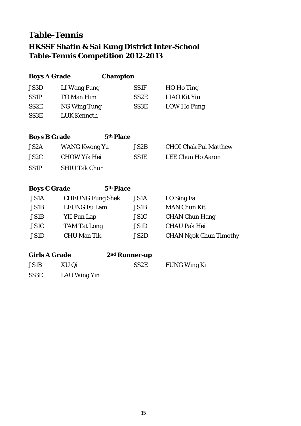# **Table-Tennis**

## **HKSSF Shatin & Sai Kung District Inter-School Table-Tennis Competition 2012-2013**

| <b>Boys A Grade</b>  |                         | <b>Champion</b>           |                   |                               |
|----------------------|-------------------------|---------------------------|-------------------|-------------------------------|
| JS3D                 | LI Wang Fung            |                           | <b>SS1F</b>       | <b>HO</b> Ho Ting             |
| <b>SS1P</b>          | <b>TO Man Him</b>       |                           | SS <sub>2</sub> E | <b>LIAO Kit Yin</b>           |
| SS <sub>2</sub> E    | <b>NG Wing Tung</b>     |                           | SS3E              | <b>LOW Ho Fung</b>            |
| SS3E                 | <b>LUK Kenneth</b>      |                           |                   |                               |
| <b>Boys B Grade</b>  |                         | 5th Place                 |                   |                               |
| JS2A                 | <b>WANG Kwong Yu</b>    |                           | JS2B              | <b>CHOI Chak Pui Matthew</b>  |
| JS <sub>2</sub> C    | <b>CHOW Yik Hei</b>     |                           | <b>SS1E</b>       | <b>LEE Chun Ho Aaron</b>      |
| <b>SS1P</b>          | <b>SHIU Tak Chun</b>    |                           |                   |                               |
| <b>Boys C Grade</b>  |                         | 5th Place                 |                   |                               |
| <b>JS1A</b>          | <b>CHEUNG Fung Shek</b> |                           | <b>JS1A</b>       | LO Sing Fai                   |
| <b>JS1B</b>          | <b>LEUNG Fu Lam</b>     |                           | <b>JS1B</b>       | <b>MAN Chun Kit</b>           |
| <b>JS1B</b>          | <b>YII Pun Lap</b>      |                           | <b>JS1C</b>       | <b>CHAN Chun Hang</b>         |
| <b>JS1C</b>          | <b>TAM Tat Long</b>     |                           | <b>JS1D</b>       | <b>CHAU Pak Hei</b>           |
| <b>JS1D</b>          | <b>CHU Man Tik</b>      |                           | JS2D              | <b>CHAN Ngok Chun Timothy</b> |
| <b>Girls A Grade</b> |                         | 2 <sup>nd</sup> Runner-up |                   |                               |
| JS1B                 | XU Qi                   |                           | SS <sub>2</sub> E | <b>FUNG Wing Ki</b>           |
| SS3E                 | <b>LAU Wing Yin</b>     |                           |                   |                               |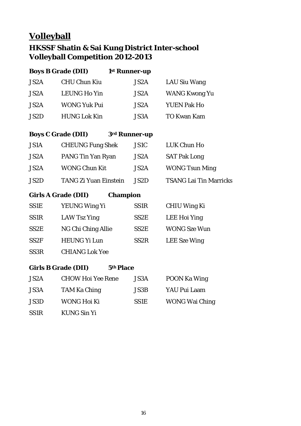# **Volleyball**

## **HKSSF Shatin & Sai Kung District Inter-school Volleyball Competition 2012-2013**

|                  | <b>Boys B Grade (DII)</b>  | 1st Runner-up    |                               |
|------------------|----------------------------|------------------|-------------------------------|
| JS2A             | <b>CHU Chun Kiu</b>        | JS2A             | <b>LAU Siu Wang</b>           |
| JS2A             | <b>LEUNG Ho Yin</b>        | JS2A             | <b>WANG Kwong Yu</b>          |
| JS2A             | <b>WONG Yuk Pui</b>        | JS2A             | <b>YUEN Pak Ho</b>            |
| JS2D             | <b>HUNG Lok Kin</b>        | JS3A             | <b>TO Kwan Kam</b>            |
|                  |                            |                  |                               |
|                  | <b>Boys C Grade (DII)</b>  | 3rd Runner-up    |                               |
| <b>JS1A</b>      | <b>CHEUNG Fung Shek</b>    | JS1C             | <b>LUK Chun Ho</b>            |
| JS2A             | PANG Tin Yan Ryan          | <b>JS2A</b>      | <b>SAT Pak Long</b>           |
| JS2A             | <b>WONG Chun Kit</b>       | JS2A             | <b>WONG Tsun Ming</b>         |
| JS2D             | TANG Zi Yuan Einstein      | JS2D             | <b>TSANG Lai Tin Marricks</b> |
|                  | <b>Girls A Grade (DII)</b> | <b>Champion</b>  |                               |
| SS1E             | YEUNG Wing Yi              | SS1 <sub>R</sub> | <b>CHIU Wing Ki</b>           |
| SS <sub>1R</sub> | <b>LAW Tsz Ying</b>        | SS2E             | <b>LEE Hoi Ying</b>           |
| SS2E             | NG Chi Ching Allie         | SS2E             | <b>WONG Sze Wun</b>           |
| SS <sub>2F</sub> | <b>HEUNG Yi Lun</b>        | SS <sub>2R</sub> | <b>LEE</b> Sze Wing           |
| SS3R             | <b>CHIANG Lok Yee</b>      |                  |                               |
|                  | <b>Girls B Grade (DII)</b> | 5th Place        |                               |
| JS2A             | <b>CHOW Hoi Yee Rene</b>   | <b>JS3A</b>      | <b>POON Ka Wing</b>           |
| <b>JS3A</b>      | <b>TAM Ka Ching</b>        | <b>JS3B</b>      | YAU Pui Laam                  |
| <b>JS3D</b>      | <b>WONG Hoi Ki</b>         | <b>SS1E</b>      | <b>WONG Wai Ching</b>         |
| <b>SS1R</b>      | <b>KUNG Sin Yi</b>         |                  |                               |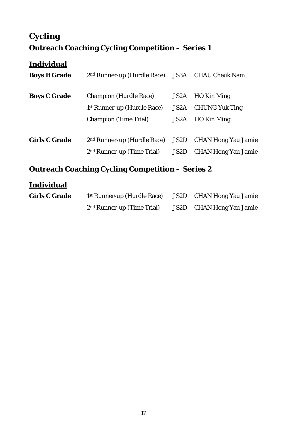# **Cycling Outreach Coaching Cycling Competition – Series 1**

## **Individual**

| <b>Boys B Grade</b>  | 2 <sup>nd</sup> Runner-up (Hurdle Race) JS3A CHAU Cheuk Nam                                              |              |                                                               |
|----------------------|----------------------------------------------------------------------------------------------------------|--------------|---------------------------------------------------------------|
| <b>Boys C Grade</b>  | <b>Champion (Hurdle Race)</b><br>1 <sup>st</sup> Runner-up (Hurdle Race)<br><b>Champion (Time Trial)</b> | JS2A<br>JS2A | JS2A HO Kin Ming<br><b>CHUNG Yuk Ting</b><br>HO Kin Ming      |
| <b>Girls C Grade</b> | 2 <sup>nd</sup> Runner-up (Hurdle Race)<br>2 <sup>nd</sup> Runner-up (Time Trial)                        | JS2D         | <b>JS2D</b> CHAN Hong Yau Jamie<br><b>CHAN Hong Yau Jamie</b> |

## **Outreach Coaching Cycling Competition – Series 2**

| <b>Girls C Grade</b> | <sup>1st</sup> Runner-up (Hurdle Race) | JS2D CHAN Hong Yau Jamie        |
|----------------------|----------------------------------------|---------------------------------|
|                      | 2 <sup>nd</sup> Runner-up (Time Trial) | <b>JS2D</b> CHAN Hong Yau Jamie |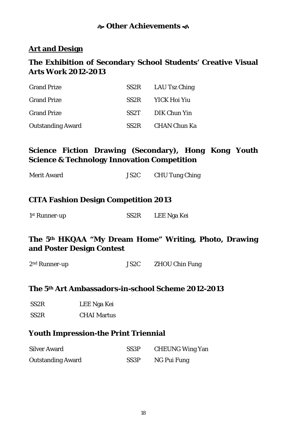#### **Other Achievements**

#### **Art and Design**

#### **The Exhibition of Secondary School Students' Creative Visual Arts Work 2012-2013**

| <b>Grand Prize</b>       | $SS2R$ LAU Tsz Ching |
|--------------------------|----------------------|
| <b>Grand Prize</b>       | SS2R YICK Hoi Yiu    |
| <b>Grand Prize</b>       | SS2T DIK Chun Yin    |
| <b>Outstanding Award</b> | SS2R CHAN Chun Ka    |

### **Science Fiction Drawing (Secondary), Hong Kong Youth Science & Technology Innovation Competition**

| <b>Merit Award</b> | JS <sub>2</sub> C | <b>CHU Tung Ching</b> |
|--------------------|-------------------|-----------------------|
|--------------------|-------------------|-----------------------|

#### **CITA Fashion Design Competition 2013**

| 1 <sup>st</sup> Runner-up | SS <sub>2</sub> R | LEE Nga Kei |
|---------------------------|-------------------|-------------|
|                           |                   |             |

#### **The 5th HKQAA "My Dream Home" Writing, Photo, Drawing and Poster Design Contest**

| $2nd$ Runner-up | JS <sub>2</sub> C | <b>ZHOU Chin Fung</b> |
|-----------------|-------------------|-----------------------|
|                 |                   |                       |

#### **The 5th Art Ambassadors-in-school Scheme 2012-2013**

| SS <sub>2</sub> R | LEE Nga Kei |
|-------------------|-------------|
|-------------------|-------------|

SS2R CHAI Martus

#### **Youth Impression-the Print Triennial**

| <b>Silver Award</b>      | SS3P              | <b>CHEUNG Wing Yan</b> |
|--------------------------|-------------------|------------------------|
| <b>Outstanding Award</b> | SS <sub>3</sub> P | NG Pui Fung            |